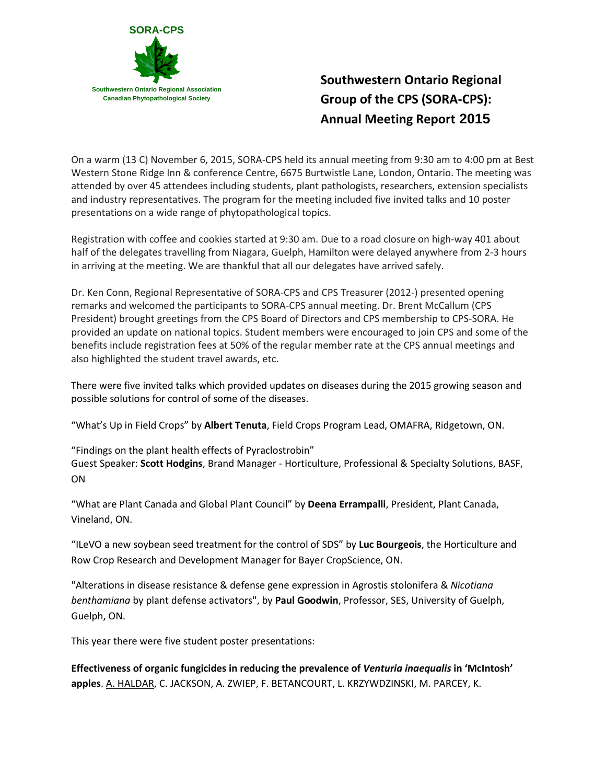

## **Southwestern Ontario Regional Group of the CPS (SORA-CPS): Annual Meeting Report 2015**

On a warm (13 C) November 6, 2015, SORA-CPS held its annual meeting from 9:30 am to 4:00 pm at Best Western Stone Ridge Inn & conference Centre, 6675 Burtwistle Lane, London, Ontario. The meeting was attended by over 45 attendees including students, plant pathologists, researchers, extension specialists and industry representatives. The program for the meeting included five invited talks and 10 poster presentations on a wide range of phytopathological topics.

Registration with coffee and cookies started at 9:30 am. Due to a road closure on high-way 401 about half of the delegates travelling from Niagara, Guelph, Hamilton were delayed anywhere from 2-3 hours in arriving at the meeting. We are thankful that all our delegates have arrived safely.

Dr. Ken Conn, Regional Representative of SORA-CPS and CPS Treasurer (2012-) presented opening remarks and welcomed the participants to SORA-CPS annual meeting. Dr. Brent McCallum (CPS President) brought greetings from the CPS Board of Directors and CPS membership to CPS-SORA. He provided an update on national topics. Student members were encouraged to join CPS and some of the benefits include registration fees at 50% of the regular member rate at the CPS annual meetings and also highlighted the student travel awards, etc.

There were five invited talks which provided updates on diseases during the 2015 growing season and possible solutions for control of some of the diseases.

"What's Up in Field Crops" by **Albert Tenuta**, Field Crops Program Lead, OMAFRA, Ridgetown, ON.

"Findings on the plant health effects of Pyraclostrobin" Guest Speaker: **Scott Hodgins**, Brand Manager - Horticulture, Professional & Specialty Solutions, BASF, ON

"What are Plant Canada and Global Plant Council" by **Deena Errampalli**, President, Plant Canada, Vineland, ON.

"ILeVO a new soybean seed treatment for the control of SDS" by **Luc Bourgeois**, the Horticulture and Row Crop Research and Development Manager for Bayer CropScience, ON.

"Alterations in disease resistance & defense gene expression in Agrostis stolonifera & *Nicotiana benthamiana* by plant defense activators", by **Paul Goodwin**, Professor, SES, University of Guelph, Guelph, ON.

This year there were five student poster presentations:

**Effectiveness of organic fungicides in reducing the prevalence of** *Venturia inaequalis* **in 'McIntosh' apples**. A. HALDAR, C. JACKSON, A. ZWIEP, F. BETANCOURT, L. KRZYWDZINSKI, M. PARCEY, K.